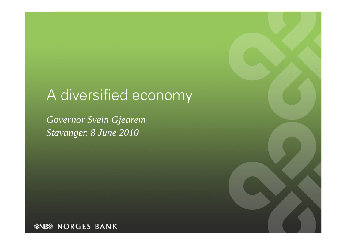# A diversified economy

*Governor Svein Gjedrem Stavanger, 8 June 2010* 

*&NB& NORGES BANK*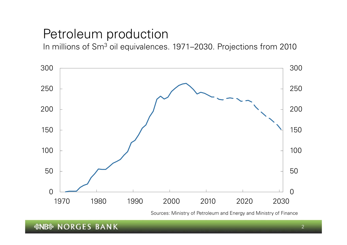### Petroleum production

In millions of Sm<sup>3</sup> oil equivalences. 1971–2030. Projections from 2010



Sources: Ministry of Petroleum and Energy and Ministry of Finance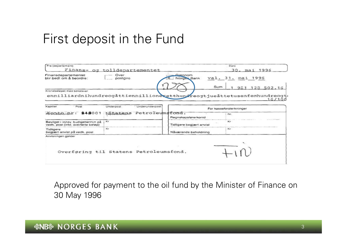### First deposit in the Fund

| Fra (departement)                                                        |                                                                         |                          | Dato                   |
|--------------------------------------------------------------------------|-------------------------------------------------------------------------|--------------------------|------------------------|
|                                                                          | Finans- og tolldepartementet                                            |                          | 30. mai 1996           |
| Finansdepartementet<br>blir bedt om å beordre:                           | Over<br>postgiro                                                        | Giennom<br>Norges Bank   | val. 31. mai 1996      |
| Kronebeløpet med bokstaver                                               | enmilliardnihundreogåttienmillionexetthungreogtjueåttetusenfemhundreogt | Sum                      | 502.16<br>98<br>16/100 |
| · Post<br>Kapittel                                                       | Underunderpost<br>Underpost                                             | For kasseforsterkninger  |                        |
| $A$ $Q$ $L$ $L$ $Q$ <sub><math>n</math></sub> $L$ $r$ : 848001           | tStatens Petroleumsfond.                                                | Regnskapsførerkonto      | Nr.                    |
| Bevilget i innev, budsiettermin på<br>vedk. post (inkl. overførte beløp) | Kr                                                                      | Tidligere begjært anvist | Kr.                    |
| Tidligere<br>begjært anvist på vedk. post                                | Kr                                                                      | Nåværende beholdning     | Kr.                    |
| Anvisningen gjelder                                                      | Overføring til Statens Petroleumsfond.                                  |                          |                        |

Approved for payment to the oil fund by the Minister of Finance on 30 May 1996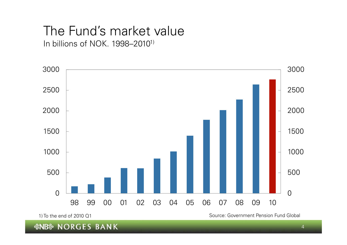#### The Fund's market value In billions of NOK. 1998–20101)



1) To the end of 2010 Q1 Source: Government Pension Fund Global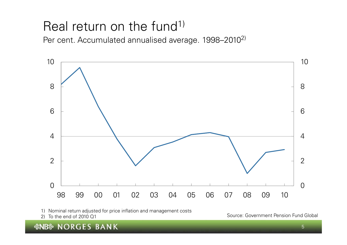## Real return on the fund<sup>1)</sup>

Per cent. Accumulated annualised average. 1998–2010<sup>2)</sup>



1) Nominal return adjusted for price inflation and management costs

*&NB& NORGES BANK* 

2) To the end of 2010 01 CH Source: Government Pension Fund Global